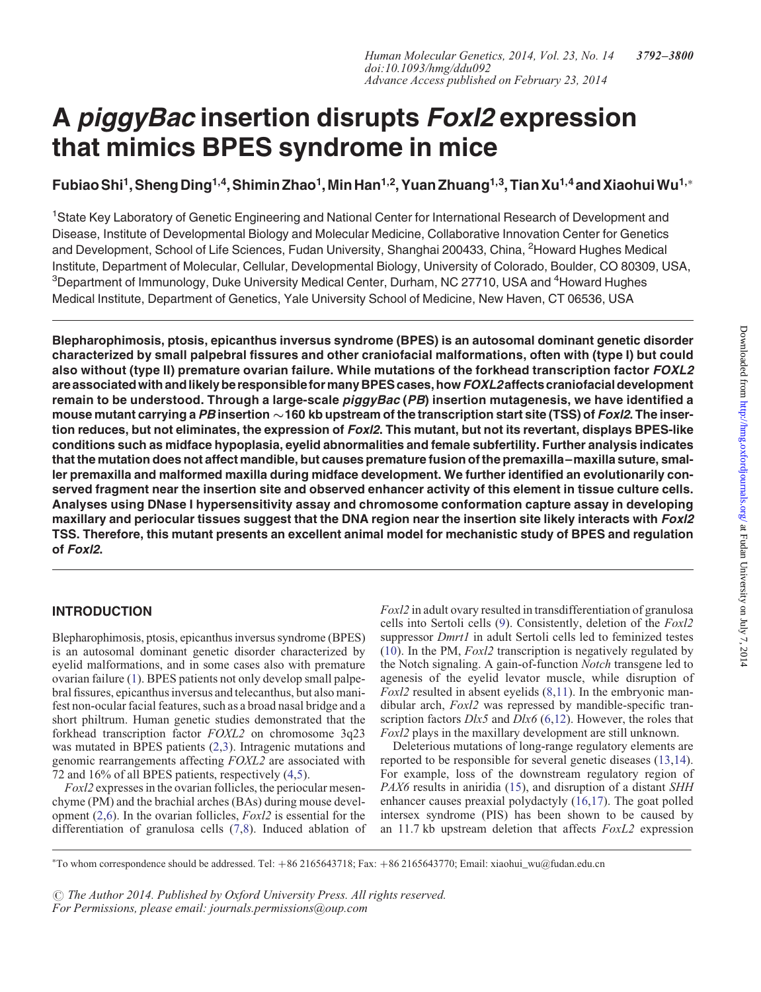# A piggyBac insertion disrupts Foxl2 expression that mimics BPES syndrome in mice

Fubiao Shi<sup>1</sup>, Sheng Ding<sup>1,4</sup>, Shimin Zhao<sup>1</sup>, Min Han<sup>1,2</sup>, Yuan Zhuang<sup>1,3</sup>, Tian Xu<sup>1,4</sup> and Xiaohui Wu<sup>1,\*</sup>

<sup>1</sup>State Key Laboratory of Genetic Engineering and National Center for International Research of Development and Disease, Institute of Developmental Biology and Molecular Medicine, Collaborative Innovation Center for Genetics and Development, School of Life Sciences, Fudan University, Shanghai 200433, China, <sup>2</sup>Howard Hughes Medical Institute, Department of Molecular, Cellular, Developmental Biology, University of Colorado, Boulder, CO 80309, USA,  $^3$ Department of Immunology, Duke University Medical Center, Durham, NC 27710, USA and  $^4$ Howard Hughes Medical Institute, Department of Genetics, Yale University School of Medicine, New Haven, CT 06536, USA

Blepharophimosis, ptosis, epicanthus inversus syndrome (BPES) is an autosomal dominant genetic disorder characterized by small palpebral fissures and other craniofacial malformations, often with (type I) but could also without (type II) premature ovarian failure. While mutations of the forkhead transcription factor FOXL2 are associated with and likely be responsible for many BPES cases, how FOXL2affects craniofacial development remain to be understood. Through a large-scale piggyBac (PB) insertion mutagenesis, we have identified a mouse mutant carrying a PB insertion  $\sim$ 160 kb upstream of the transcription start site (TSS) of Fox/2. The insertion reduces, but not eliminates, the expression of FoxI2. This mutant, but not its revertant, displays BPES-like conditions such as midface hypoplasia, eyelid abnormalities and female subfertility. Further analysis indicates that the mutation does not affect mandible, but causes premature fusion of the premaxilla–maxilla suture, smaller premaxilla and malformed maxilla during midface development. We further identified an evolutionarily conserved fragment near the insertion site and observed enhancer activity of this element in tissue culture cells. Analyses using DNase I hypersensitivity assay and chromosome conformation capture assay in developing maxillary and periocular tissues suggest that the DNA region near the insertion site likely interacts with Foxl2 TSS. Therefore, this mutant presents an excellent animal model for mechanistic study of BPES and regulation of Foxl2.

# INTRODUCTION

Blepharophimosis, ptosis, epicanthus inversus syndrome (BPES) is an autosomal dominant genetic disorder characterized by eyelid malformations, and in some cases also with premature ovarian failure ([1](#page-7-0)). BPES patients not only develop small palpebral fissures, epicanthus inversus and telecanthus, but also manifest non-ocular facial features, such as a broad nasal bridge and a short philtrum. Human genetic studies demonstrated that the forkhead transcription factor FOXL2 on chromosome 3q23 was mutated in BPES patients ([2,3](#page-7-0)). Intragenic mutations and genomic rearrangements affecting FOXL2 are associated with 72 and 16% of all BPES patients, respectively [\(4](#page-7-0),[5\)](#page-7-0).

Foxl2 expresses in the ovarian follicles, the periocular mesenchyme (PM) and the brachial arches (BAs) during mouse development [\(2](#page-7-0),[6\)](#page-7-0). In the ovarian follicles, Foxl2 is essential for the differentiation of granulosa cells [\(7](#page-7-0),[8\)](#page-7-0). Induced ablation of Foxl2 in adult ovary resulted in transdifferentiation of granulosa cells into Sertoli cells ([9\)](#page-7-0). Consistently, deletion of the Foxl2 suppressor *Dmrt1* in adult Sertoli cells led to feminized testes [\(10](#page-7-0)). In the PM, Foxl2 transcription is negatively regulated by the Notch signaling. A gain-of-function Notch transgene led to agenesis of the eyelid levator muscle, while disruption of  $Foxl2$  resulted in absent eyelids  $(8,11)$  $(8,11)$  $(8,11)$ . In the embryonic mandibular arch, Foxl2 was repressed by mandible-specific transcription factors  $D \& S$  and  $D \& C$  [\(6](#page-7-0),[12\)](#page-7-0). However, the roles that Foxl2 plays in the maxillary development are still unknown.

Deleterious mutations of long-range regulatory elements are reported to be responsible for several genetic diseases ([13,](#page-7-0)[14](#page-8-0)). For example, loss of the downstream regulatory region of PAX6 results in aniridia ([15\)](#page-8-0), and disruption of a distant SHH enhancer causes preaxial polydactyly [\(16](#page-8-0),[17\)](#page-8-0). The goat polled intersex syndrome (PIS) has been shown to be caused by an 11.7 kb upstream deletion that affects FoxL2 expression

 $\odot$  The Author 2014. Published by Oxford University Press. All rights reserved. For Permissions, please email: journals.permissions@oup.com

<sup>∗</sup> To whom correspondence should be addressed. Tel: +86 2165643718; Fax: +86 2165643770; Email: xiaohui\_wu@fudan.edu.cn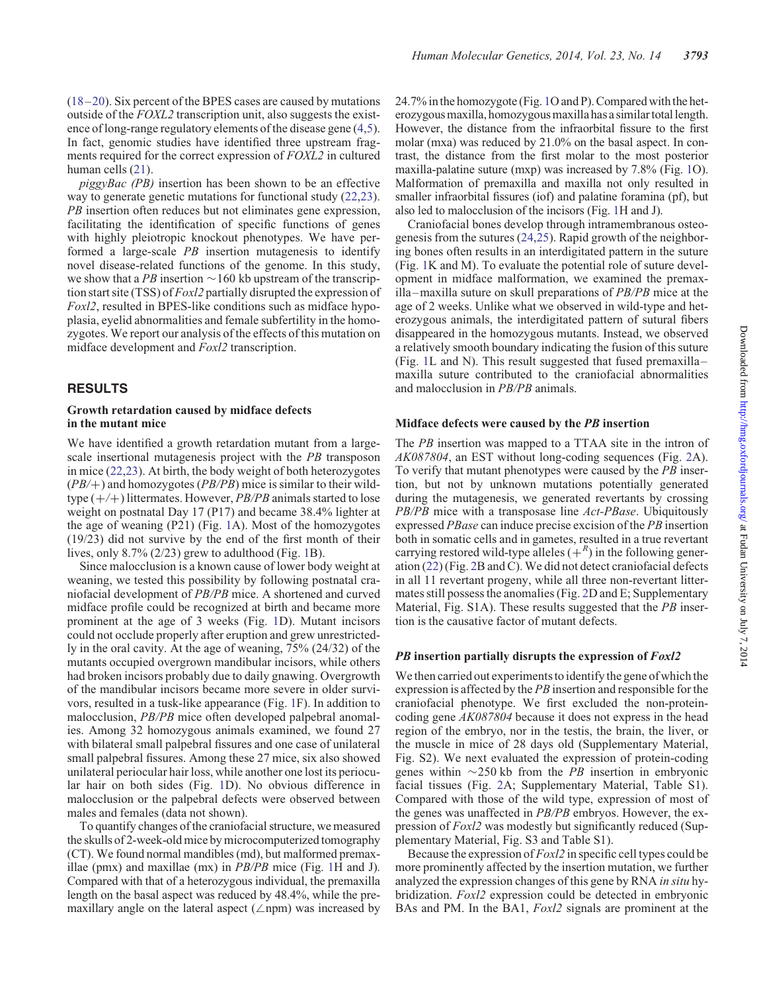[\(18](#page-8-0)–[20](#page-8-0)). Six percent of the BPES cases are caused by mutations outside of the FOXL2 transcription unit, also suggests the existence of long-range regulatory elements of the disease gene ([4,5](#page-7-0)). In fact, genomic studies have identified three upstream fragments required for the correct expression of FOXL2 in cultured human cells ([21\)](#page-8-0).

piggyBac (PB) insertion has been shown to be an effective way to generate genetic mutations for functional study  $(22,23)$  $(22,23)$  $(22,23)$ . PB insertion often reduces but not eliminates gene expression, facilitating the identification of specific functions of genes with highly pleiotropic knockout phenotypes. We have performed a large-scale PB insertion mutagenesis to identify novel disease-related functions of the genome. In this study, we show that a PB insertion  $\sim$  160 kb upstream of the transcription start site (TSS) of *Foxl2* partially disrupted the expression of Foxl2, resulted in BPES-like conditions such as midface hypoplasia, eyelid abnormalities and female subfertility in the homozygotes. We report our analysis of the effects of this mutation on midface development and Foxl2 transcription.

# RESULTS

## Growth retardation caused by midface defects in the mutant mice

We have identified a growth retardation mutant from a largescale insertional mutagenesis project with the PB transposon in mice ([22,23](#page-8-0)). At birth, the body weight of both heterozygotes  $(PB/\text{+})$  and homozygotes  $(PB/PB)$  mice is similar to their wildtype  $(+/+)$  littermates. However, *PB/PB* animals started to lose weight on postnatal Day 17 (P17) and became 38.4% lighter at the age of weaning (P21) (Fig. [1A](#page-2-0)). Most of the homozygotes (19/23) did not survive by the end of the first month of their lives, only 8.7% (2/23) grew to adulthood (Fig. [1](#page-2-0)B).

Since malocclusion is a known cause of lower body weight at weaning, we tested this possibility by following postnatal craniofacial development of PB/PB mice. A shortened and curved midface profile could be recognized at birth and became more prominent at the age of 3 weeks (Fig. [1D](#page-2-0)). Mutant incisors could not occlude properly after eruption and grew unrestrictedly in the oral cavity. At the age of weaning, 75% (24/32) of the mutants occupied overgrown mandibular incisors, while others had broken incisors probably due to daily gnawing. Overgrowth of the mandibular incisors became more severe in older survivors, resulted in a tusk-like appearance (Fig. [1F](#page-2-0)). In addition to malocclusion, PB/PB mice often developed palpebral anomalies. Among 32 homozygous animals examined, we found 27 with bilateral small palpebral fissures and one case of unilateral small palpebral fissures. Among these 27 mice, six also showed unilateral periocular hair loss, while another one lost its periocular hair on both sides (Fig. [1](#page-2-0)D). No obvious difference in malocclusion or the palpebral defects were observed between males and females (data not shown).

To quantify changes of the craniofacial structure, we measured the skulls of 2-week-old mice by microcomputerized tomography (CT). We found normal mandibles (md), but malformed premaxillae (pmx) and maxillae (mx) in PB/PB mice (Fig. [1H](#page-2-0) and J). Compared with that of a heterozygous individual, the premaxilla length on the basal aspect was reduced by 48.4%, while the premaxillary angle on the lateral aspect ( $\angle$ npm) was increased by 24.7% in the homozygote (Fig. [1O](#page-2-0) and P). Compared with the heterozygous maxilla, homozygous maxilla has a similartotallength. However, the distance from the infraorbital fissure to the first molar (mxa) was reduced by 21.0% on the basal aspect. In contrast, the distance from the first molar to the most posterior maxilla-palatine suture (mxp) was increased by 7.8% (Fig. [1](#page-2-0)O). Malformation of premaxilla and maxilla not only resulted in smaller infraorbital fissures (iof) and palatine foramina (pf), but also led to malocclusion of the incisors (Fig. [1](#page-2-0)H and J).

Craniofacial bones develop through intramembranous osteogenesis from the sutures [\(24](#page-8-0),[25\)](#page-8-0). Rapid growth of the neighboring bones often results in an interdigitated pattern in the suture (Fig. [1K](#page-2-0) and M). To evaluate the potential role of suture development in midface malformation, we examined the premaxilla – maxilla suture on skull preparations of  $PB/PB$  mice at the age of 2 weeks. Unlike what we observed in wild-type and heterozygous animals, the interdigitated pattern of sutural fibers disappeared in the homozygous mutants. Instead, we observed a relatively smooth boundary indicating the fusion of this suture (Fig. [1](#page-2-0)L and N). This result suggested that fused premaxilla – maxilla suture contributed to the craniofacial abnormalities and malocclusion in PB/PB animals.

#### Midface defects were caused by the PB insertion

The PB insertion was mapped to a TTAA site in the intron of AK087804, an EST without long-coding sequences (Fig. [2A](#page-3-0)). To verify that mutant phenotypes were caused by the PB insertion, but not by unknown mutations potentially generated during the mutagenesis, we generated revertants by crossing PB/PB mice with a transposase line Act-PBase. Ubiquitously expressed PBase can induce precise excision of the PB insertion both in somatic cells and in gametes, resulted in a true revertant carrying restored wild-type alleles  $\left( +^{R} \right)$  in the following generation [\(22](#page-8-0)) (Fig. [2B](#page-3-0) and C). We did not detect craniofacial defects in all 11 revertant progeny, while all three non-revertant littermates still possess the anomalies (Fig. [2D](#page-3-0) and E; [Supplementary](http://hmg.oxfordjournals.org/lookup/suppl/doi:10.1093/hmg/ddu092/-/DC1) [Material, Fig. S1A](http://hmg.oxfordjournals.org/lookup/suppl/doi:10.1093/hmg/ddu092/-/DC1)). These results suggested that the PB insertion is the causative factor of mutant defects.

#### PB insertion partially disrupts the expression of  $Foxl2$

We then carried out experiments to identify the gene of which the expression is affected by the PB insertion and responsible for the craniofacial phenotype. We first excluded the non-proteincoding gene AK087804 because it does not express in the head region of the embryo, nor in the testis, the brain, the liver, or the muscle in mice of 28 days old ([Supplementary Material,](http://hmg.oxfordjournals.org/lookup/suppl/doi:10.1093/hmg/ddu092/-/DC1) [Fig. S2\)](http://hmg.oxfordjournals.org/lookup/suppl/doi:10.1093/hmg/ddu092/-/DC1). We next evaluated the expression of protein-coding genes within  $\sim$ 250 kb from the *PB* insertion in embryonic facial tissues (Fig. [2](#page-3-0)A; [Supplementary Material, Table S1](http://hmg.oxfordjournals.org/lookup/suppl/doi:10.1093/hmg/ddu092/-/DC1)). Compared with those of the wild type, expression of most of the genes was unaffected in PB/PB embryos. However, the expression of Foxl2 was modestly but significantly reduced [\(Sup](http://hmg.oxfordjournals.org/lookup/suppl/doi:10.1093/hmg/ddu092/-/DC1)[plementary Material, Fig. S3 and Table S1\)](http://hmg.oxfordjournals.org/lookup/suppl/doi:10.1093/hmg/ddu092/-/DC1).

Because the expression of Foxl2 in specific cell types could be more prominently affected by the insertion mutation, we further analyzed the expression changes of this gene by RNA in situ hybridization. Foxl2 expression could be detected in embryonic BAs and PM. In the BA1, *Foxl2* signals are prominent at the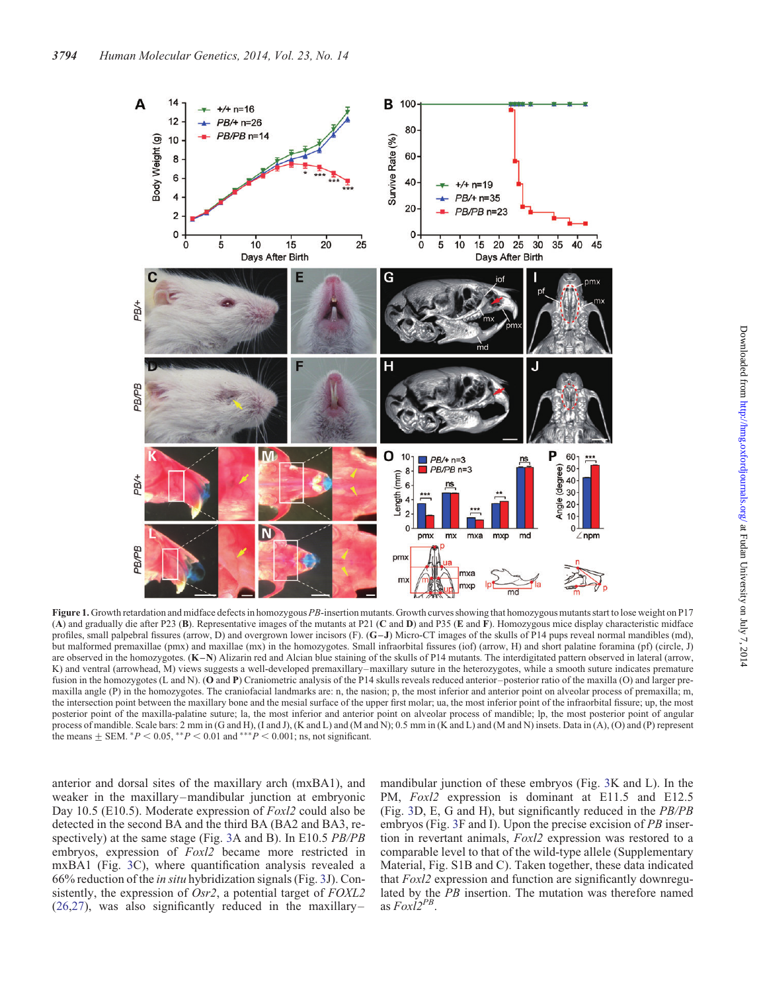<span id="page-2-0"></span>

Figure 1. Growth retardation and midface defects in homozygous PB-insertion mutants. Growth curves showing that homozygous mutants start to lose weight on P17 (A) and gradually die after P23 (B). Representative images of the mutants at P21 (C and D) and P35 (E and F). Homozygous mice display characteristic midface profiles, small palpebral fissures (arrow, D) and overgrown lower incisors (F). (G-J) Micro-CT images of the skulls of P14 pups reveal normal mandibles (md), but malformed premaxillae (pmx) and maxillae (mx) in the homozygotes. Small infraorbital fissures (iof) (arrow, H) and short palatine foramina (pf) (circle, J) are observed in the homozygotes. (K-N) Alizarin red and Alcian blue staining of the skulls of P14 mutants. The interdigitated pattern observed in lateral (arrow, K) and ventral (arrowhead, M) views suggests a well-developed premaxillary–maxillary suture in the heterozygotes, while a smooth suture indicates premature fusion in the homozygotes (L and N). (O and P) Craniometric analysis of the P14 skulls reveals reduced anterior–posterior ratio of the maxilla (O) and larger premaxilla angle (P) in the homozygotes. The craniofacial landmarks are: n, the nasion; p, the most inferior and anterior point on alveolar process of premaxilla; m, the intersection point between the maxillary bone and the mesial surface of the upper first molar; ua, the most inferior point of the infraorbital fissure; up, the most posterior point of the maxilla-palatine suture; la, the most inferior and anterior point on alveolar process of mandible; lp, the most posterior point of angular process of mandible. Scale bars: 2 mm in (G and H), (I and J), (K and L) and (M and N); 0.5 mm in (K and L) and (M and N) insets. Data in (A), (O) and (P) represent the means  $\pm$  SEM.  $*P < 0.05$ ,  $*P < 0.01$  and  $**P < 0.001$ ; ns, not significant.

anterior and dorsal sites of the maxillary arch (mxBA1), and weaker in the maxillary-mandibular junction at embryonic Day 10.5 (E10.5). Moderate expression of *Foxl2* could also be detected in the second BA and the third BA (BA2 and BA3, respectively) at the same stage (Fig. [3](#page-4-0)A and B). In E10.5 PB/PB embryos, expression of Foxl2 became more restricted in mxBA1 (Fig. [3](#page-4-0)C), where quantification analysis revealed a 66% reduction of the in situ hybridization signals (Fig. [3J](#page-4-0)). Consistently, the expression of *Osr2*, a potential target of *FOXL2*  $(26,27)$  $(26,27)$  $(26,27)$ , was also significantly reduced in the maxillary-

mandibular junction of these embryos (Fig. [3](#page-4-0)K and L). In the PM,  $Foxl2$  expression is dominant at E11.5 and E12.5 (Fig. [3](#page-4-0)D, E, G and H), but significantly reduced in the PB/PB embryos (Fig. [3](#page-4-0)F and I). Upon the precise excision of PB insertion in revertant animals, Foxl2 expression was restored to a comparable level to that of the wild-type allele [\(Supplementary](http://hmg.oxfordjournals.org/lookup/suppl/doi:10.1093/hmg/ddu092/-/DC1) [Material, Fig. S1B and C\)](http://hmg.oxfordjournals.org/lookup/suppl/doi:10.1093/hmg/ddu092/-/DC1). Taken together, these data indicated that Foxl2 expression and function are significantly downregulated by the PB insertion. The mutation was therefore named as  $FoxI2^{PB}$ .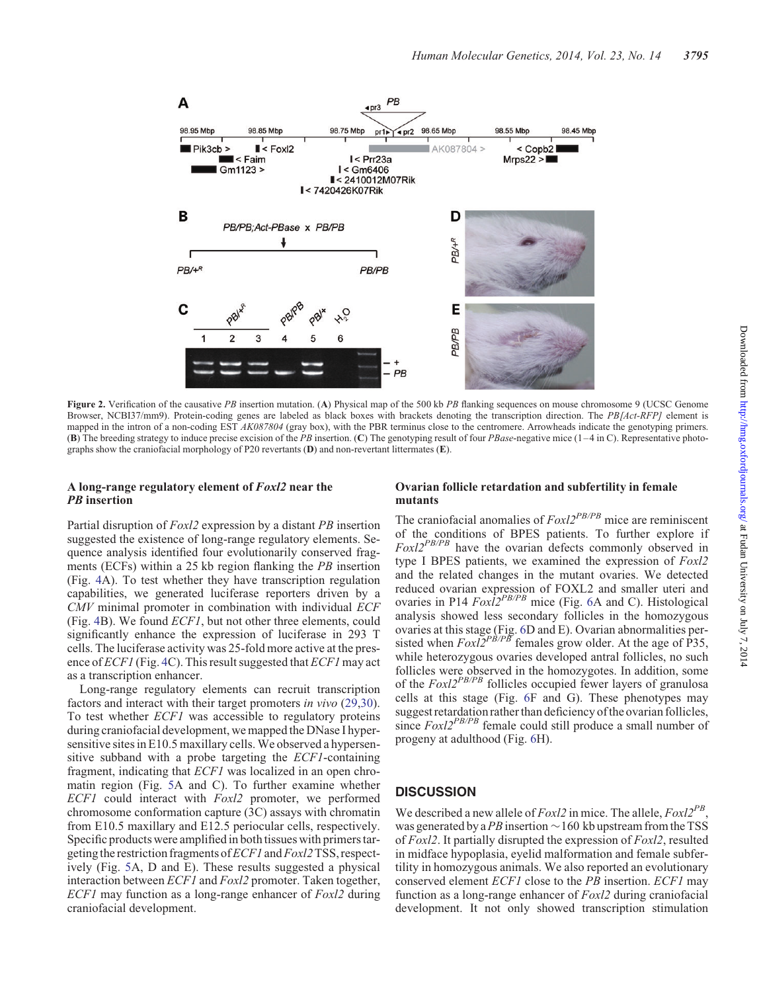<span id="page-3-0"></span>

Figure 2. Verification of the causative PB insertion mutation. (A) Physical map of the 500 kb PB flanking sequences on mouse chromosome 9 (UCSC Genome Browser, NCBI37/mm9). Protein-coding genes are labeled as black boxes with brackets denoting the transcription direction. The PB[Act-RFP] element is mapped in the intron of a non-coding EST AK087804 (gray box), with the PBR terminus close to the centromere. Arrowheads indicate the genotyping primers. (B) The breeding strategy to induce precise excision of the PB insertion. (C) The genotyping result of four PBase-negative mice  $(1-4$  in C). Representative photographs show the craniofacial morphology of P20 revertants (D) and non-revertant littermates (E).

## A long-range regulatory element of Foxl2 near the **PB** insertion

# Ovarian follicle retardation and subfertility in female mutants

Partial disruption of Foxl2 expression by a distant PB insertion suggested the existence of long-range regulatory elements. Sequence analysis identified four evolutionarily conserved fragments (ECFs) within a 25 kb region flanking the PB insertion (Fig. [4A](#page-5-0)). To test whether they have transcription regulation capabilities, we generated luciferase reporters driven by a CMV minimal promoter in combination with individual ECF (Fig. [4B](#page-5-0)). We found ECF1, but not other three elements, could significantly enhance the expression of luciferase in 293 T cells. The luciferase activity was 25-fold more active at the presence of  $ECFI$  (Fig. [4](#page-5-0)C). This result suggested that  $ECFI$  may act as a transcription enhancer.

Long-range regulatory elements can recruit transcription factors and interact with their target promoters *in vivo* ([29,30](#page-8-0)). To test whether ECF1 was accessible to regulatory proteins during craniofacial development, we mapped the DNase I hypersensitive sites in E10.5 maxillary cells. We observed a hypersensitive subband with a probe targeting the ECF1-containing fragment, indicating that ECF1 was localized in an open chromatin region (Fig. [5](#page-5-0)A and C). To further examine whether ECF1 could interact with Foxl2 promoter, we performed chromosome conformation capture (3C) assays with chromatin from E10.5 maxillary and E12.5 periocular cells, respectively. Specific products were amplified in both tissues with primers targeting the restriction fragments of  $ECFI$  and  $Foxl2$  TSS, respectively (Fig. [5A](#page-5-0), D and E). These results suggested a physical interaction between ECF1 and Foxl2 promoter. Taken together, ECF1 may function as a long-range enhancer of Foxl2 during craniofacial development.

The craniofacial anomalies of  $FoxI2^{PB/PB}$  mice are reminiscent of the conditions of BPES patients. To further explore if  $FoxI2^{PB/PB}$  have the ovarian defects commonly observed in type I BPES patients, we examined the expression of Foxl2 and the related changes in the mutant ovaries. We detected reduced ovarian expression of FOXL2 and smaller uteri and ovaries in P14  $Fox\bar{l}2^{PB/PB}$  mice (Fig. [6](#page-6-0)A and C). Histological analysis showed less secondary follicles in the homozygous ovaries at this stage (Fig. [6](#page-6-0)D and E). Ovarian abnormalities persisted when  $FoxI2<sup>PB/PB</sup>$  females grow older. At the age of P35, while heterozygous ovaries developed antral follicles, no such follicles were observed in the homozygotes. In addition, some of the  $Foxl2^{PB/PB}$  follicles occupied fewer layers of granulosa cells at this stage (Fig. [6F](#page-6-0) and G). These phenotypes may suggest retardation rather than deficiency of the ovarian follicles, since  $FoxI2^{PB/PB}$  female could still produce a small number of progeny at adulthood (Fig. [6H](#page-6-0)).

# **DISCUSSION**

We described a new allele of  $Foxl2$  in mice. The allele,  $Foxl2^{PB}$ . was generated by a PB insertion  $\sim$  160 kb upstream from the TSS of Foxl2. It partially disrupted the expression of Foxl2, resulted in midface hypoplasia, eyelid malformation and female subfertility in homozygous animals. We also reported an evolutionary conserved element ECF1 close to the PB insertion. ECF1 may function as a long-range enhancer of Foxl2 during craniofacial development. It not only showed transcription stimulation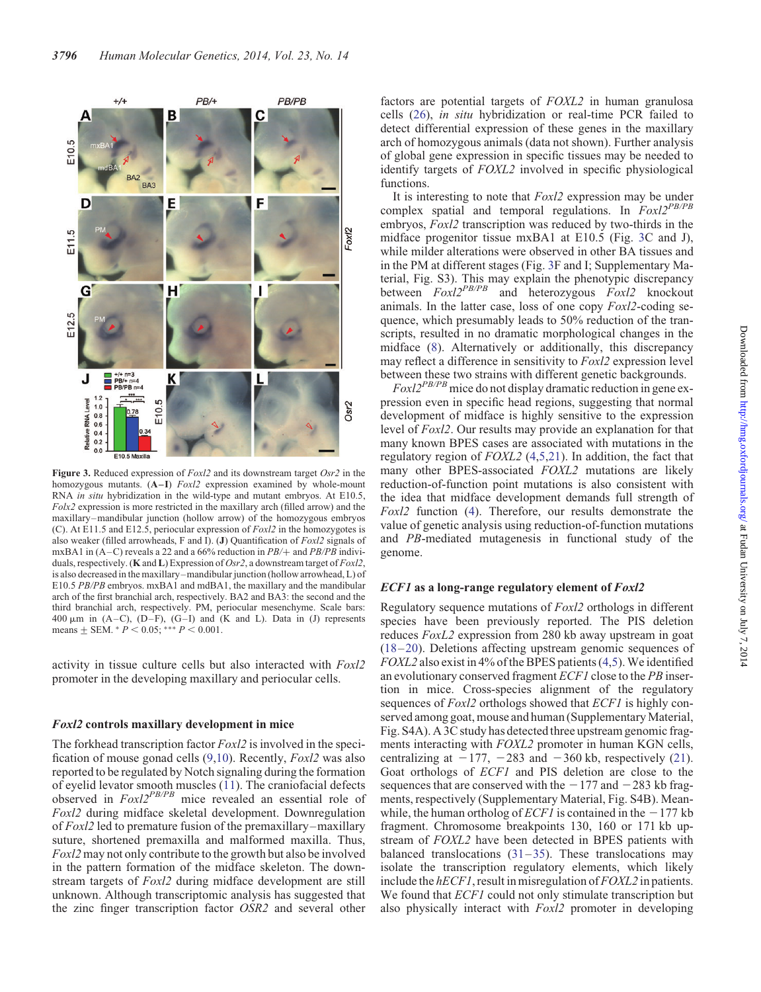<span id="page-4-0"></span>

Figure 3. Reduced expression of  $Foxl2$  and its downstream target  $Osr2$  in the homozygous mutants. (A–I) *Foxl2* expression examined by whole-mount RNA *in situ* hybridization in the wild-type and mutant embryos. At E10.5,  $Folx2$  expression is more restricted in the maxillary arch (filled arrow) and the maxillary–mandibular junction (hollow arrow) of the homozygous embryos (C). At E11.5 and E12.5, periocular expression of  $Fox2$  in the homozygotes is also weaker (filled arrowheads, F and I). (J) Quantification of Foxl2 signals of mxBA1 in  $(A-C)$  reveals a 22 and a 66% reduction in  $PB$ /+ and  $PB$ /PB individuals, respectively. (**K** and **L**) Expression of *Osr2*, a downstream target of *Foxl2*, is also decreased in the maxillary–mandibular junction (hollow arrowhead, L) of E10.5 PB/PB embryos. mxBA1 and mdBA1, the maxillary and the mandibular arch of the first branchial arch, respectively. BA2 and BA3: the second and the third branchial arch, respectively. PM, periocular mesenchyme. Scale bars: 400  $\mu$ m in (A–C), (D–F), (G–I) and (K and L). Data in (J) represents means  $\pm$  SEM.  $*$   $P$  < 0.05;  $* * * P$  < 0.001.

activity in tissue culture cells but also interacted with Foxl2 promoter in the developing maxillary and periocular cells.

#### Foxl2 controls maxillary development in mice

The forkhead transcription factor  $Foxl2$  is involved in the specification of mouse gonad cells [\(9](#page-7-0),[10\)](#page-7-0). Recently, Foxl2 was also reported to be regulated by Notch signaling during the formation of eyelid levator smooth muscles ([11\)](#page-7-0). The craniofacial defects observed in Foxl2PB/PB mice revealed an essential role of Foxl2 during midface skeletal development. Downregulation of Foxl2 led to premature fusion of the premaxillary–maxillary suture, shortened premaxilla and malformed maxilla. Thus, Foxl2 may not only contribute to the growth but also be involved in the pattern formation of the midface skeleton. The downstream targets of Foxl2 during midface development are still unknown. Although transcriptomic analysis has suggested that the zinc finger transcription factor OSR2 and several other

factors are potential targets of FOXL2 in human granulosa cells ([26\)](#page-8-0), in situ hybridization or real-time PCR failed to detect differential expression of these genes in the maxillary arch of homozygous animals (data not shown). Further analysis of global gene expression in specific tissues may be needed to identify targets of FOXL2 involved in specific physiological functions.

It is interesting to note that Foxl2 expression may be under complex spatial and temporal regulations. In  $FoxI2^{PB/PB}$ embryos, *Foxl2* transcription was reduced by two-thirds in the midface progenitor tissue mxBA1 at E10.5 (Fig. 3C and J), while milder alterations were observed in other BA tissues and in the PM at different stages (Fig. 3F and I; [Supplementary Ma](http://hmg.oxfordjournals.org/lookup/suppl/doi:10.1093/hmg/ddu092/-/DC1)[terial, Fig. S3](http://hmg.oxfordjournals.org/lookup/suppl/doi:10.1093/hmg/ddu092/-/DC1)). This may explain the phenotypic discrepancy between  $Foxl2^{PB/PB}$  and heterozygous  $Foxl2$  knockout animals. In the latter case, loss of one copy Foxl2-coding sequence, which presumably leads to 50% reduction of the transcripts, resulted in no dramatic morphological changes in the midface ([8\)](#page-7-0). Alternatively or additionally, this discrepancy may reflect a difference in sensitivity to Foxl2 expression level between these two strains with different genetic backgrounds.

 $Foxl2^{PB/PB}$  mice do not display dramatic reduction in gene expression even in specific head regions, suggesting that normal development of midface is highly sensitive to the expression level of Foxl2. Our results may provide an explanation for that many known BPES cases are associated with mutations in the regulatory region of  $FOXL2$  [\(4](#page-7-0),[5](#page-7-0)[,21](#page-8-0)). In addition, the fact that many other BPES-associated FOXL2 mutations are likely reduction-of-function point mutations is also consistent with the idea that midface development demands full strength of Foxl2 function [\(4](#page-7-0)). Therefore, our results demonstrate the value of genetic analysis using reduction-of-function mutations and PB-mediated mutagenesis in functional study of the genome.

#### ECF1 as a long-range regulatory element of Foxl2

Regulatory sequence mutations of Foxl2 orthologs in different species have been previously reported. The PIS deletion reduces FoxL2 expression from 280 kb away upstream in goat [\(18](#page-8-0)–[20](#page-8-0)). Deletions affecting upstream genomic sequences of FOXL2 also exist in 4% of the BPES patients ([4,5](#page-7-0)). We identified an evolutionary conserved fragment ECF1 close to the PB insertion in mice. Cross-species alignment of the regulatory sequences of *Foxl2* orthologs showed that *ECF1* is highly conserved among goat, mouse and human [\(Supplementary Material,](http://hmg.oxfordjournals.org/lookup/suppl/doi:10.1093/hmg/ddu092/-/DC1) [Fig. S4A\)](http://hmg.oxfordjournals.org/lookup/suppl/doi:10.1093/hmg/ddu092/-/DC1). A 3C study has detected three upstream genomic fragments interacting with FOXL2 promoter in human KGN cells, centralizing at  $-177$ ,  $-283$  and  $-360$  kb, respectively [\(21](#page-8-0)). Goat orthologs of ECF1 and PIS deletion are close to the sequences that are conserved with the  $-177$  and  $-283$  kb fragments, respectively [\(Supplementary Material, Fig. S4B](http://hmg.oxfordjournals.org/lookup/suppl/doi:10.1093/hmg/ddu092/-/DC1)). Meanwhile, the human ortholog of *ECF1* is contained in the  $-177$  kb fragment. Chromosome breakpoints 130, 160 or 171 kb upstream of FOXL2 have been detected in BPES patients with balanced translocations  $(31-35)$  $(31-35)$  $(31-35)$  $(31-35)$ . These translocations may isolate the transcription regulatory elements, which likely include the  $hECFI$ , result in misregulation of  $FOXL2$  in patients. We found that *ECF1* could not only stimulate transcription but also physically interact with *Foxl2* promoter in developing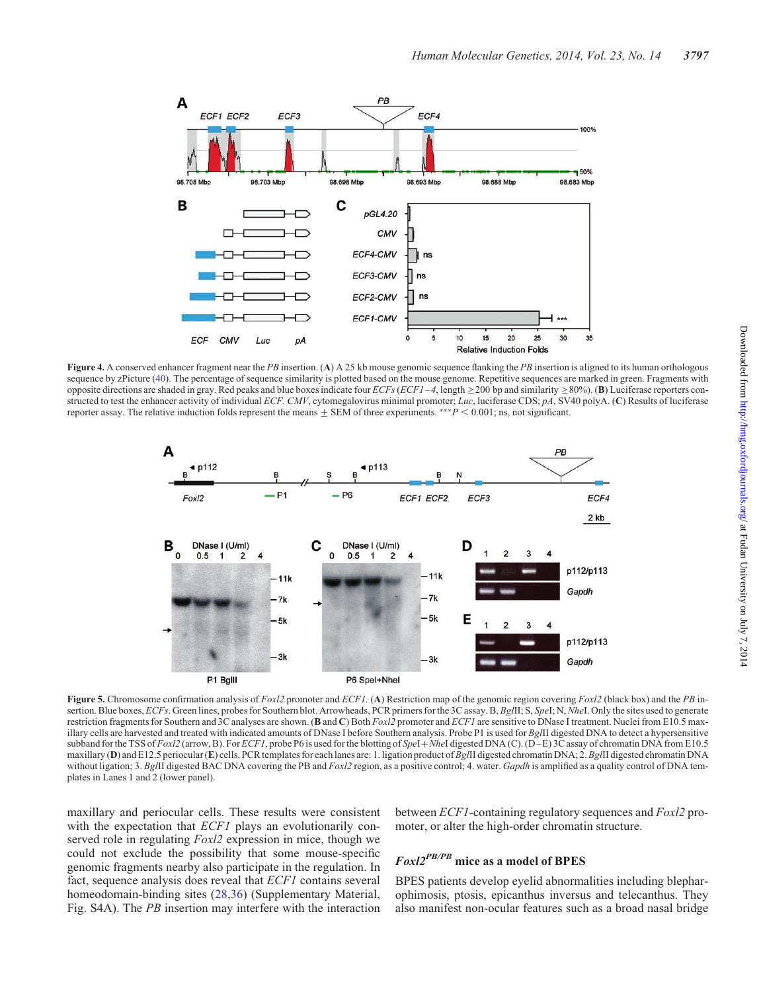<span id="page-5-0"></span>

Figure 4. A conserved enhancer fragment near the PB insertion. (A) A 25 kb mouse genomic sequence flanking the PB insertion is aligned to its human orthologous sequence by zPicture [\(40](#page-8-0)). The percentage of sequence similarity is plotted based on the mouse genome. Repetitive sequences are marked in green. Fragments with opposite directions are shaded in gray. Red peaks and blue boxes indicate four  $ECFs$  ( $ECF1-4$ , length  $\geq$  200 bp and similarity  $\geq$  80%). (B) Luciferase reporters constructed to test the enhancer activity of individual ECF. CMV, cytomegalovirus minimal promoter; Luc, luciferase CDS; pA, SV40 polyA. (C) Results of luciferase reporter assay. The relative induction folds represent the means  $\pm$  SEM of three experiments. \*\*\*P < 0.001; ns, not significant.



Figure 5. Chromosome confirmation analysis of Foxl2 promoter and ECF1. (A) Restriction map of the genomic region covering Foxl2 (black box) and the PB insertion. Blue boxes, ECFs. Green lines, probes for Southern blot. Arrowheads, PCR primers for the 3C assay. B, BglII; S, SpeI; N, NheI. Only the sites used to generate restriction fragments for Southern and 3C analyses are shown. (B and C) Both Foxl2 promoter and ECF1 are sensitive to DNase I treatment. Nuclei from E10.5 maxillary cells are harvested and treated with indicated amounts of DNase I before Southern analysis. Probe P1 is used for BgIII digested DNA to detect a hypersensitive subband for the TSS of Foxl2 (arrow, B). For ECF1, probe P6 is used for the blotting of SpeI+NheI digested DNA (C). (D–E) 3C assay of chromatin DNA from E10.5 maxillary (D) and E12.5 periocular (E) cells. PCR templates for each lanes are: 1. ligation product of BgIII digested chromatin DNA; 2. BgIII digested chromatin DNA without ligation; 3. BgIII digested BAC DNA covering the PB and Foxl2 region, as a positive control; 4. water. Gapdh is amplified as a quality control of DNA templates in Lanes 1 and 2 (lower panel).

maxillary and periocular cells. These results were consistent with the expectation that *ECF1* plays an evolutionarily conserved role in regulating  $Foxl2$  expression in mice, though we could not exclude the possibility that some mouse-specific genomic fragments nearby also participate in the regulation. In fact, sequence analysis does reveal that ECF1 contains several homeodomain-binding sites [\(28,36\)](#page-8-0) [\(Supplementary Material,](http://hmg.oxfordjournals.org/lookup/suppl/doi:10.1093/hmg/ddu092/-/DC1) [Fig. S4A](http://hmg.oxfordjournals.org/lookup/suppl/doi:10.1093/hmg/ddu092/-/DC1)). The PB insertion may interfere with the interaction

between ECF1-containing regulatory sequences and Foxl2 promoter, or alter the high-order chromatin structure.

# Foxl2PB/PB mice as a model of BPES

BPES patients develop eyelid abnormalities including blepharophimosis, ptosis, epicanthus inversus and telecanthus. They also manifest non-ocular features such as a broad nasal bridge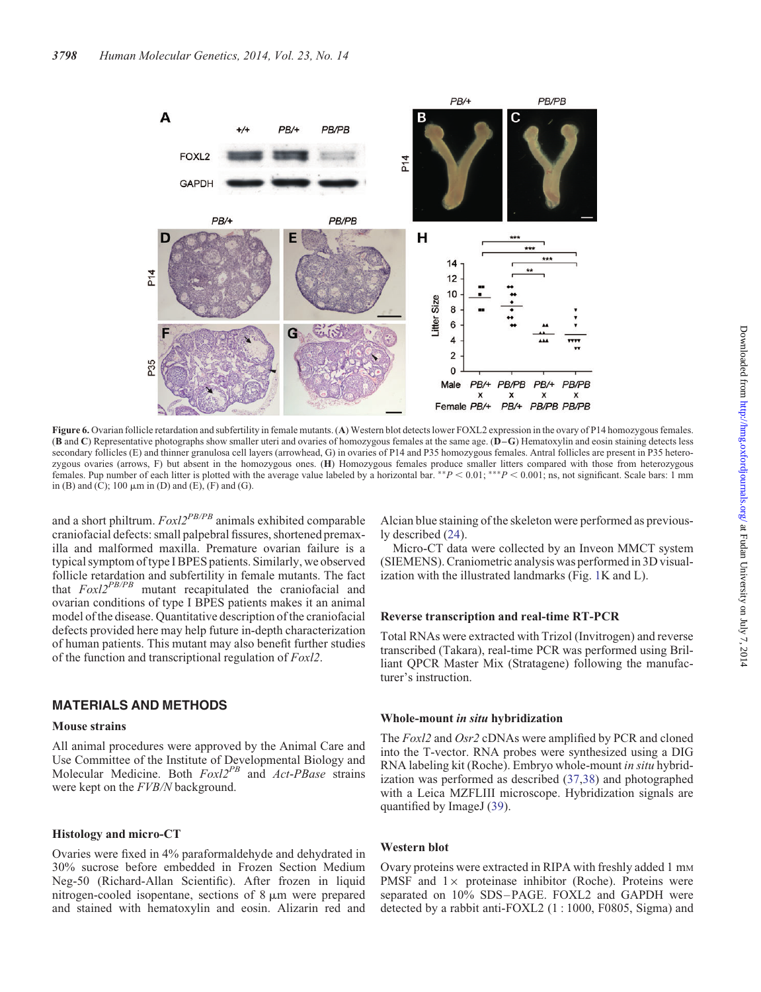<span id="page-6-0"></span>

Figure 6. Ovarian follicle retardation and subfertility in female mutants. (A) Western blot detects lower FOXL2 expression in the ovary of P14 homozygous females. (B and C) Representative photographs show smaller uteri and ovaries of homozygous females at the same age. (D–G) Hematoxylin and eosin staining detects less secondary follicles (E) and thinner granulosa cell layers (arrowhead, G) in ovaries of P14 and P35 homozygous females. Antral follicles are present in P35 heterozygous ovaries (arrows, F) but absent in the homozygous ones. (H) Homozygous females produce smaller litters compared with those from heterozygous females. Pup number of each litter is plotted with the average value labeled by a horizontal bar. \*\* $P < 0.01$ ; \*\*\* $P < 0.001$ ; ns, not significant. Scale bars: 1 mm in (B) and (C); 100  $\mu$ m in (D) and (E), (F) and (G).

and a short philtrum.  $Foxl2^{PB/PB}$  animals exhibited comparable craniofacial defects: small palpebral fissures, shortened premaxilla and malformed maxilla. Premature ovarian failure is a typical symptom of type I BPES patients. Similarly, we observed follicle retardation and subfertility in female mutants. The fact that  $FoxI2^{PB/PB}$  mutant recapitulated the craniofacial and ovarian conditions of type I BPES patients makes it an animal model of the disease. Quantitative description of the craniofacial defects provided here may help future in-depth characterization of human patients. This mutant may also benefit further studies of the function and transcriptional regulation of Foxl2.

## MATERIALS AND METHODS

#### Mouse strains

All animal procedures were approved by the Animal Care and Use Committee of the Institute of Developmental Biology and Molecular Medicine. Both  $Foxl2^{PB}$  and  $Act-PBase$  strains were kept on the FVB/N background.

#### Histology and micro-CT

Ovaries were fixed in 4% paraformaldehyde and dehydrated in 30% sucrose before embedded in Frozen Section Medium Neg-50 (Richard-Allan Scientific). After frozen in liquid nitrogen-cooled isopentane, sections of  $8 \mu m$  were prepared and stained with hematoxylin and eosin. Alizarin red and Alcian blue staining of the skeleton were performed as previously described [\(24](#page-8-0)).

Micro-CT data were collected by an Inveon MMCT system (SIEMENS). Craniometric analysis was performed in 3D visualization with the illustrated landmarks (Fig. [1K](#page-2-0) and L).

#### Reverse transcription and real-time RT-PCR

Total RNAs were extracted with Trizol (Invitrogen) and reverse transcribed (Takara), real-time PCR was performed using Brilliant QPCR Master Mix (Stratagene) following the manufacturer's instruction.

#### Whole-mount in situ hybridization

The Foxl2 and Osr2 cDNAs were amplified by PCR and cloned into the T-vector. RNA probes were synthesized using a DIG RNA labeling kit (Roche). Embryo whole-mount in situ hybridization was performed as described [\(37](#page-8-0),[38\)](#page-8-0) and photographed with a Leica MZFLIII microscope. Hybridization signals are quantified by ImageJ [\(39](#page-8-0)).

#### Western blot

Ovary proteins were extracted in RIPA with freshly added 1 mm PMSF and  $1 \times$  proteinase inhibitor (Roche). Proteins were separated on 10% SDS-PAGE. FOXL2 and GAPDH were detected by a rabbit anti-FOXL2 (1 : 1000, F0805, Sigma) and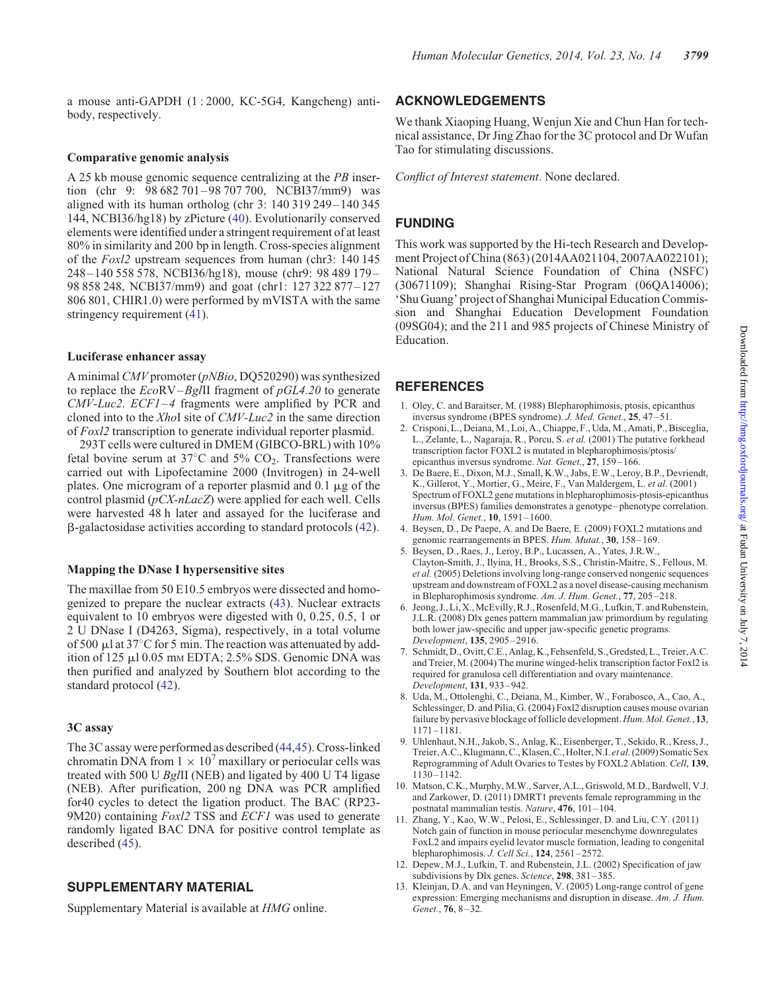<span id="page-7-0"></span>a mouse anti-GAPDH (1 : 2000, KC-5G4, Kangcheng) antibody, respectively.

#### Comparative genomic analysis

A 25 kb mouse genomic sequence centralizing at the PB insertion (chr 9: 98 682 701 – 98 707 700, NCBI37/mm9) was aligned with its human ortholog (chr 3: 140 319 249– 140 345 144, NCBI36/hg18) by zPicture ([40\)](#page-8-0). Evolutionarily conserved elements were identified under a stringent requirement of at least 80% in similarity and 200 bp in length. Cross-species alignment of the Foxl2 upstream sequences from human (chr3: 140 145 248– 140 558 578, NCBI36/hg18), mouse (chr9: 98 489 179– 98 858 248, NCBI37/mm9) and goat (chr1: 127 322 877 –127 806 801, CHIR1.0) were performed by mVISTA with the same stringency requirement [\(41](#page-8-0)).

# Luciferase enhancer assay

A minimal CMV promoter (pNBio, DQ520290) was synthesized to replace the  $EcoRV-Bg/II$  fragment of  $pGL4.20$  to generate CMV-Luc2. ECF1–4 fragments were amplified by PCR and cloned into to the XhoI site of CMV-Luc2 in the same direction of Foxl2 transcription to generate individual reporter plasmid.

293T cells were cultured in DMEM (GIBCO-BRL) with 10% fetal bovine serum at  $37^{\circ}$ C and  $5\%$  CO<sub>2</sub>. Transfections were carried out with Lipofectamine 2000 (Invitrogen) in 24-well plates. One microgram of a reporter plasmid and  $0.1 \mu$ g of the control plasmid  $(pCX-nLacZ)$  were applied for each well. Cells were harvested 48 h later and assayed for the luciferase and b-galactosidase activities according to standard protocols [\(42](#page-8-0)).

## Mapping the DNase I hypersensitive sites

The maxillae from 50 E10.5 embryos were dissected and homogenized to prepare the nuclear extracts [\(43](#page-8-0)). Nuclear extracts equivalent to 10 embryos were digested with 0, 0.25, 0.5, 1 or 2 U DNase I (D4263, Sigma), respectively, in a total volume of 500  $\mu$ l at 37°C for 5 min. The reaction was attenuated by addition of 125 µl 0.05 mm EDTA; 2.5% SDS. Genomic DNA was then purified and analyzed by Southern blot according to the standard protocol [\(42](#page-8-0)).

## 3C assay

The 3C assay were performed as described ([44,45](#page-8-0)). Cross-linked chromatin DNA from  $1 \times 10^7$  maxillary or periocular cells was treated with 500 U BglII (NEB) and ligated by 400 U T4 ligase (NEB). After purification, 200 ng DNA was PCR amplified for40 cycles to detect the ligation product. The BAC (RP23- 9M20) containing *Foxl2* TSS and *ECF1* was used to generate randomly ligated BAC DNA for positive control template as described [\(45](#page-8-0)).

# SUPPLEMENTARY MATERIAL

[Supplementary Material is available at](http://hmg.oxfordjournals.org/lookup/suppl/doi:10.1093/hmg/ddu092/-/DC1) HMG online.

# ACKNOWLEDGEMENTS

We thank Xiaoping Huang, Wenjun Xie and Chun Han for technical assistance, Dr Jing Zhao for the 3C protocol and Dr Wufan Tao for stimulating discussions.

Conflict of Interest statement. None declared.

# FUNDING

This work was supported by the Hi-tech Research and Development Project of China (863) (2014AA021104, 2007AA022101); National Natural Science Foundation of China (NSFC) (30671109); Shanghai Rising-Star Program (06QA14006); 'Shu Guang' project of Shanghai Municipal Education Commission and Shanghai Education Development Foundation (09SG04); and the 211 and 985 projects of Chinese Ministry of Education.

# **REFERENCES**

- 1. Oley, C. and Baraitser, M. (1988) Blepharophimosis, ptosis, epicanthus inversus syndrome (BPES syndrome). J. Med. Genet., 25, 47–51.
- 2. Crisponi, L., Deiana, M., Loi, A., Chiappe, F., Uda, M., Amati, P., Bisceglia, L., Zelante, L., Nagaraja, R., Porcu, S. et al. (2001) The putative forkhead transcription factor FOXL2 is mutated in blepharophimosis/ptosis/ epicanthus inversus syndrome. Nat. Genet., 27, 159-166.
- 3. De Baere, E., Dixon, M.J., Small, K.W., Jabs, E.W., Leroy, B.P., Devriendt, K., Gillerot, Y., Mortier, G., Meire, F., Van Maldergem, L. et al. (2001) Spectrum of FOXL2 gene mutations in blepharophimosis-ptosis-epicanthus inversus (BPES) families demonstrates a genotype– phenotype correlation. Hum. Mol. Genet., 10, 1591–1600.
- 4. Beysen, D., De Paepe, A. and De Baere, E. (2009) FOXL2 mutations and genomic rearrangements in BPES. Hum. Mutat., 30, 158–169.
- 5. Beysen, D., Raes, J., Leroy, B.P., Lucassen, A., Yates, J.R.W., Clayton-Smith, J., Ilyina, H., Brooks, S.S., Christin-Maitre, S., Fellous, M. et al. (2005) Deletions involving long-range conserved nongenic sequences upstream and downstream of FOXL2 as a novel disease-causing mechanism in Blepharophimosis syndrome. Am. J. Hum. Genet., 77, 205–218.
- 6. Jeong, J., Li, X.,McEvilly,R.J.,Rosenfeld,M.G.,Lufkin, T. and Rubenstein, J.L.R. (2008) Dlx genes pattern mammalian jaw primordium by regulating both lower jaw-specific and upper jaw-specific genetic programs. Development, 135, 2905-2916.
- 7. Schmidt, D., Ovitt,C.E., Anlag, K., Fehsenfeld, S., Gredsted, L., Treier, A.C. and Treier, M. (2004) The murine winged-helix transcription factor Foxl2 is required for granulosa cell differentiation and ovary maintenance. Development, 131, 933–942.
- 8. Uda, M., Ottolenghi, C., Deiana, M., Kimber, W., Forabosco, A., Cao, A., Schlessinger, D. and Pilia, G. (2004) Foxl2 disruption causes mouse ovarian failure by pervasive blockage of follicle development. Hum. Mol. Genet., 13, 1171–1181.
- 9. Uhlenhaut, N.H., Jakob, S., Anlag, K., Eisenberger, T., Sekido, R., Kress, J., Treier, A.C., Klugmann,C., Klasen,C., Holter, N.I. et al.(2009) Somatic Sex Reprogramming of Adult Ovaries to Testes by FOXL2 Ablation. Cell, 139, 1130–1142.
- 10. Matson, C.K., Murphy, M.W., Sarver, A.L., Griswold, M.D., Bardwell, V.J. and Zarkower, D. (2011) DMRT1 prevents female reprogramming in the postnatal mammalian testis. Nature, 476, 101–104.
- 11. Zhang, Y., Kao, W.W., Pelosi, E., Schlessinger, D. and Liu, C.Y. (2011) Notch gain of function in mouse periocular mesenchyme downregulates FoxL2 and impairs eyelid levator muscle formation, leading to congenital blepharophimosis. J. Cell Sci., 124, 2561-2572.
- 12. Depew, M.J., Lufkin, T. and Rubenstein, J.L. (2002) Specification of jaw subdivisions by Dlx genes. Science, 298, 381-385.
- 13. Kleinjan, D.A. and van Heyningen, V. (2005) Long-range control of gene expression: Emerging mechanisms and disruption in disease. Am. J. Hum. Genet., 76, 8-32.